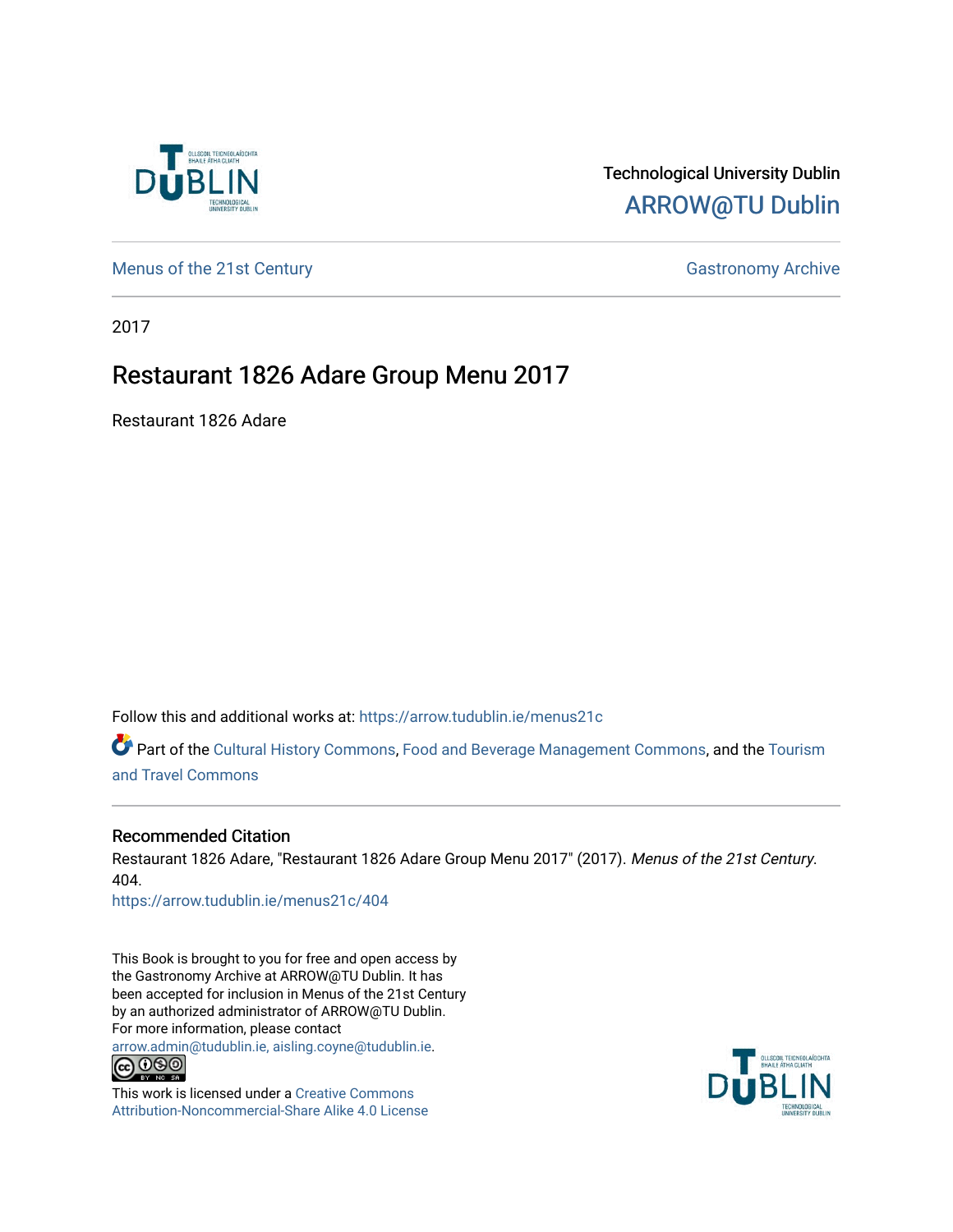

#### Technological University Dublin [ARROW@TU Dublin](https://arrow.tudublin.ie/)

[Menus of the 21st Century](https://arrow.tudublin.ie/menus21c) Gastronomy Archive

2017

#### Restaurant 1826 Adare Group Menu 2017

Restaurant 1826 Adare

Follow this and additional works at: [https://arrow.tudublin.ie/menus21c](https://arrow.tudublin.ie/menus21c?utm_source=arrow.tudublin.ie%2Fmenus21c%2F404&utm_medium=PDF&utm_campaign=PDFCoverPages) 

Part of the [Cultural History Commons](http://network.bepress.com/hgg/discipline/496?utm_source=arrow.tudublin.ie%2Fmenus21c%2F404&utm_medium=PDF&utm_campaign=PDFCoverPages), [Food and Beverage Management Commons,](http://network.bepress.com/hgg/discipline/1089?utm_source=arrow.tudublin.ie%2Fmenus21c%2F404&utm_medium=PDF&utm_campaign=PDFCoverPages) and the [Tourism](http://network.bepress.com/hgg/discipline/1082?utm_source=arrow.tudublin.ie%2Fmenus21c%2F404&utm_medium=PDF&utm_campaign=PDFCoverPages) [and Travel Commons](http://network.bepress.com/hgg/discipline/1082?utm_source=arrow.tudublin.ie%2Fmenus21c%2F404&utm_medium=PDF&utm_campaign=PDFCoverPages)

#### Recommended Citation

Restaurant 1826 Adare, "Restaurant 1826 Adare Group Menu 2017" (2017). Menus of the 21st Century. 404.

[https://arrow.tudublin.ie/menus21c/404](https://arrow.tudublin.ie/menus21c/404?utm_source=arrow.tudublin.ie%2Fmenus21c%2F404&utm_medium=PDF&utm_campaign=PDFCoverPages) 

This Book is brought to you for free and open access by the Gastronomy Archive at ARROW@TU Dublin. It has been accepted for inclusion in Menus of the 21st Century by an authorized administrator of ARROW@TU Dublin. For more information, please contact

[arrow.admin@tudublin.ie, aisling.coyne@tudublin.ie](mailto:arrow.admin@tudublin.ie,%20aisling.coyne@tudublin.ie).<br>
co 060



This work is licensed under a [Creative Commons](http://creativecommons.org/licenses/by-nc-sa/4.0/) [Attribution-Noncommercial-Share Alike 4.0 License](http://creativecommons.org/licenses/by-nc-sa/4.0/)

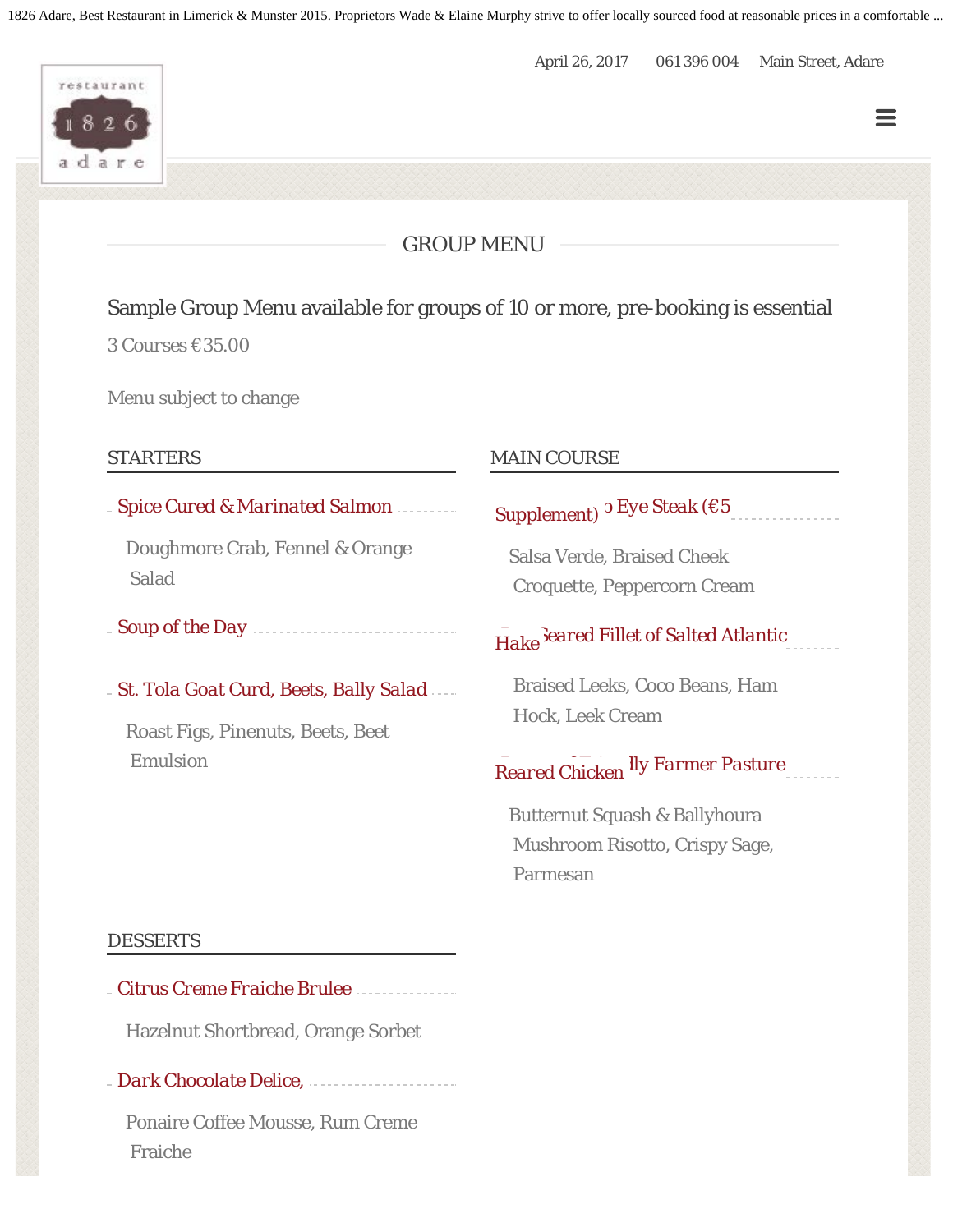1826 Adare, Best Restaurant in Limerick & Munster 2015. Proprietors Wade & Elaine Murphy strive to offer locally sourced food at reasonable prices in a comfortable ...

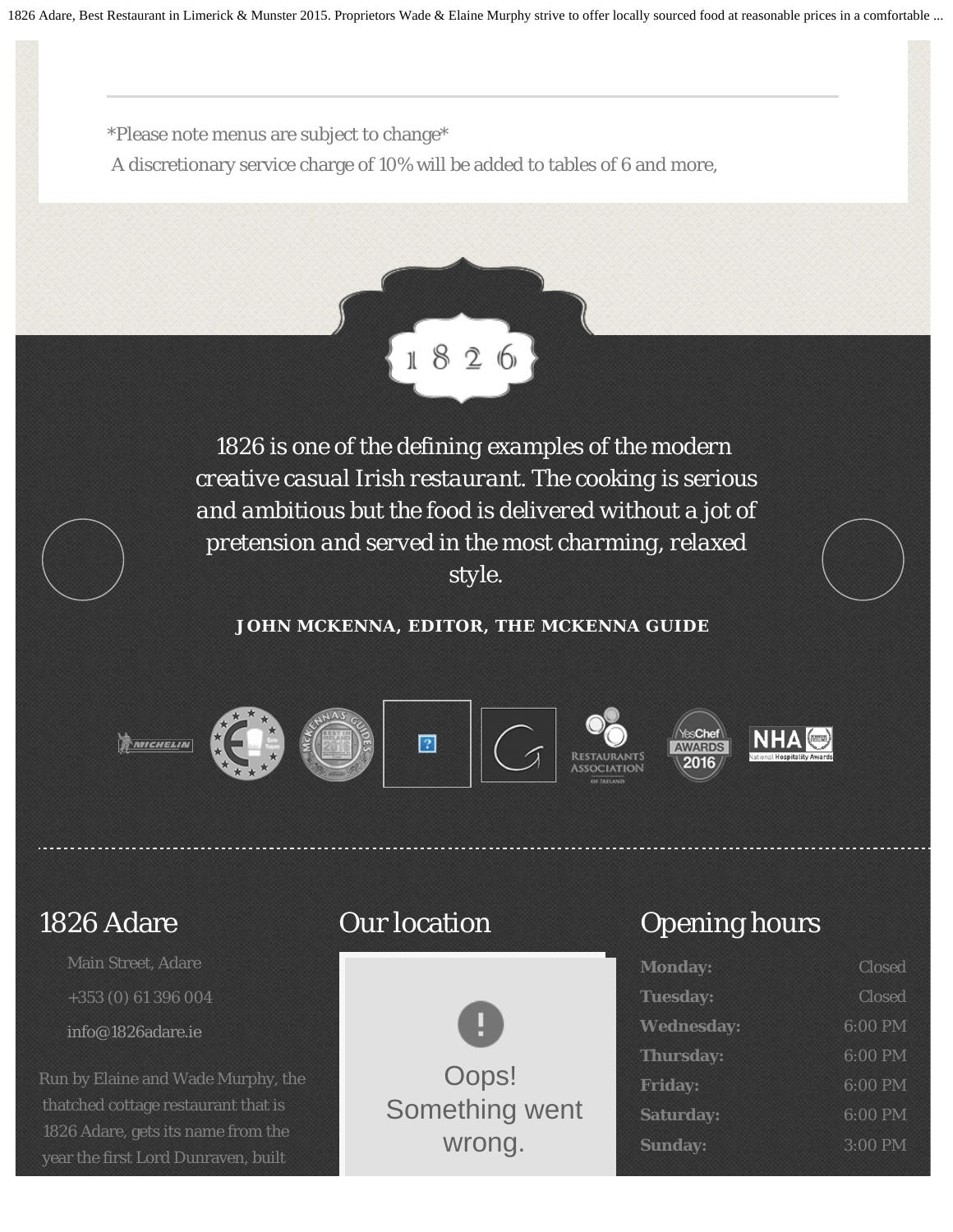1826 Adare, Best Restaurant in Limerick & Munster 2015. Proprietors Wade & Elaine Murphy strive to offer locally sourced food at reasonable prices in a comfortable ...

\*Please note menus are subject to change\*

A discretionary service charge of 10% will be added to tables of 6 and more,



*1826 is one of the defining examples of the modern creative casual Irish restaurant. The cooking is serious and ambitious but the food is delivered without a jot of pretension and served in the most charming, relaxed style.*

**JOHN MCKENNA, EDITOR, THE MCKENNA GUIDE**



### 1826 Adare

Main Street, Adare +353 (0) 61 396 004 [info@1826adare.ie](mailto:info@1826adare.ie)

Run by Elaine and Wade Murphy, the thatched cottage restaurant that is 1826 Adare, gets its name from the year the first Lord Dunraven, built

## Our location



# Opening hours

| <b>Monday:</b>    | <b>Closed</b> |
|-------------------|---------------|
| <b>Tuesday:</b>   | <b>Closed</b> |
| <b>Wednesday:</b> | 6:00 PM       |
| <b>Thursday:</b>  | 6:00 PM       |
| <b>Friday:</b>    | 6:00 PM       |
| <b>Saturday:</b>  | 6:00 PM       |
| <b>Sunday:</b>    | 3:00 PM       |